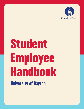

# Student Employee Handbook University of Dayton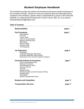# **Student Employee Handbook**

This handbook provides the policies and procedures that govern student employees of the University of Dayton. Should you have any questions about the information that is contained in this handbook, please contact a representative by phone at 937-229-3249 (x93249), by visiting Student Employment in Alumni House, 208 L St. or by email at studentemployment@udayton.edu.

#### **Table of Contents**

| <b>Responsibilities</b>                                                                                                                                                                                                                                                                                                               | page 2  |
|---------------------------------------------------------------------------------------------------------------------------------------------------------------------------------------------------------------------------------------------------------------------------------------------------------------------------------------|---------|
| <b>Pay Procedures</b><br><b>Direct Deposit</b><br>Form W-2<br><b>Income Taxes</b><br>Limits on Co-op Students<br><b>Maximum Working Hours</b><br><b>Merit Raises</b><br>Minimum Wage<br>Overtime Policy<br><b>Time Reporting</b>                                                                                                      | page 2  |
| <b>Job Separation</b><br>Resignation<br><b>Involuntary Separation With Notice</b><br><b>Involuntary Separation Without Notice</b><br>Returning To Your Job After Academic Vacations                                                                                                                                                   | page 6  |
| <b>University Policies &amp; Procedures</b><br>Drug-Free Workplace Policy<br><b>Grievance Procedures</b><br>Illness/Emergency Leave<br>Injury On The Job<br>Jury Duty<br><b>Nepotism Policy</b><br>Nondiscrimination and Anti-Harassment Policy<br><b>Smoking Policy</b><br><b>Work Breaks</b><br><b>Worker's Compensation Policy</b> | page 7  |
| <b>Students with Disabilities</b>                                                                                                                                                                                                                                                                                                     | page 11 |
| <b>Transportation Services</b>                                                                                                                                                                                                                                                                                                        | page 11 |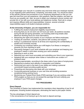# **RESPONSIBILITIES**

You should begin your new job in a positive way and know what your employer expects of you regarding work performance, scheduling, and dress code. You should be aware of the specific policies and procedures of your employing department so that you can gain the most from your job experience. Ask questions, take the initiative, and learn as much as you possibly can. Also, be sure to obtain your employer's phone number and provide him or her with your local address and telephone number. Each job is unique and requires different skills and responsibilities; however, several universal responsibilities apply to all student employee positions.

# **At the University of Dayton, you are responsible for:**

- Fulfilling the student employment eligibility requirements;
- Ensuring that you do not work over 20 hours per week, all positions included, during the fall and spring semesters, not including week long breaks (See Maximum Working Hours for more information);
- Respecting the rights and property of your employer and fellow employees;
- Treating all coworkers, students, and patrons with courtesy and respect;
- Acting in a professional manner at all times and respecting the confidentiality of student and University records;
- Contacting your employer before your shift begins if an illness or emergency prevents you from reporting to work;
- Discussing changes in your work schedule with your employer and keeping your employer's needs in mind when revising your work schedule;
- Reporting to work on time;
- Reporting your work hours accurately and submitting your time to your supervisor;
- Speaking with your employer when duties or instructions are unclear or if problems arise;
- Dressing appropriately, according to the dress code of your place of employment;
- Maintaining a positive work attitude of cooperation and initiative;
- Performing your work to the best of your ability and making a personal commitment toward providing quality service;
- Presenting and discussing new ideas with your employer;
- Conducting personal business on your own time and avoiding excessive socializing during working hours;
- Monitoring your Federal Work Study (FWS) earnings if you are working under the FWS program so that you do not exceed the earnings limit and notifying your employer if your FWS award changes.

# **PAY PROCEDURES**

#### **Direct Deposit**

The University of Dayton has implemented the mandatory direct depositing of pay for all employees, including student employees, eliminating the need to print paper checks.

The key advantages of direct deposit are:

1) the convenience of not having to go to the bank to deposit earnings,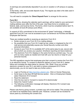2) earnings are automatically deposited if you are on vacation or off campus on payday, and

3) the timely, safe, and accurate deposit of pay. The regular pay date is the date used in crediting your account.

You will need to complete the '**Direct Deposit Form**' to arrange for this service.

# **Form W-2**

The W-2 forms, showing the calendar year's earnings, will be mailed to your permanent mailing address soon after the first of the year. Use these forms to complete your federal, state, and local tax forms. The forms, which must be completed before April 15, are available at local off-campus post offices.

In support of UD's commitment to the environment & "green" technology, a federally approved Form W-2 can now be accessed at your convenience via Porches and Banner Employee Self Service.

There are multiple benefits to receiving an electronic Form W-2:

- Earlier access to your Form W-2 (no mailing delays).
- No possibility that your Form W-2 might be lost, stolen or misplaced by the U.S. mail service and potentially expose your Social Security number and other personal information.
- Access to your Form W-2 is available 24/7 at the same easy-to-use, secure web site at which you access your paystub, time/leave reporting and leave balances.
- The electronic Form W-2 displays in the same format as a printed copy. You can print as many copies as needed and mail with your tax returns or keep for your personal records.

The IRS regulations require that employees give their consent to receive the Form W-2 in an electronic format. To consent to electronic delivery of your Form W-2, please follow and complete the steps below by January 15th. (Note: Once you provide electronic consent for your W-2, and wish to receive subsequent W-2 Forms electronically, you do not need to take any further action.)

- Login to Porches at [https://porches.udayton.edu.](https://porches.udayton.edu/) Click on Human Resources.
- Scroll down to the blue HR Self-Service section. Click on Employment Details, select 'Electronic W-2 Consent'
- Read the statement
- Click the box next to 'Consent to receive W-2 electronically'
- Select the 'Submit' button
- The following confirmation message will display: Electronic W-2 consent was submitted successfully.

Please note that by giving consent, a printed copy will not be mailed. This process does not need to be repeated every calendar year. However, consent can be revoked for future years by unchecking the consent box.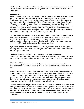**NOTE:** *Graduating students will receive a Form W-2 by mail to the address on file with Payroll. Porches access is disabled after graduation and the electronic version will be unavailable.*

#### **Income Taxes**

As part of the application process, students are required to complete Federal and State tax forms before they are considered eligible to work on-campus. A Student Employment Representative will explain the procedure for completing these forms. A common question is whether to claim "1" or "0" exemptions on the tax forms. Claiming "1" results in a smaller amount of taxes being deducted from your paycheck, while claiming "0" results in a larger amount being deducted. You may change the number of exemptions on your tax forms throughout the school year. If you fail to adequately complete the tax forms, state law requires the Student Employment Office to withhold an amount from your paycheck based on the highest schedule.

Full time students are exempt from paying Medicare and Social Security taxes. In order for you to take advantage of this exemption, you must be registered as a full time student during the session in which you are working. Full time status as an undergraduate requires that you be enrolled for twelve (12) credits during the school year and six (6) credits during each of the summer sessions.

If you are a resident of Indiana, Kentucky, Michigan, Pennsylvania, or West Virginia, you may claim exemption from withholding of Ohio Income tax. Instead, that income is taxable in your home state.

#### **Limits on Co-op Students/Students Working Full-Time Internships**

Students who participate in a paid co-op position or paid full-time internship position will not be eligible to work a student position on campus during their work term semesters.

#### **Maximum Hours**

Student working hours are limited so that students can remain focused on their academics as well as for the University to be in compliance with the Affordable Care Act.

Students may work 20 hours or less per week during the fall and spring semesters (all jobs combined). A work week begins at 12:00 am on Monday and ends at 11:59 pm on Sunday. During the summer semester and breaks that are at least a week or longer, student hours will be limited to 35 hours during a work week. If you are working more than one campus job, your hours are accumulated among them. Therefore, you are responsible for notifying each department of your other jobs.

Students who work during the summer semester and take 12 credit hours or more as an undergraduate student or 6 credit hours or more as a graduate student during any of the summer sessions will be limited to 20 hours a week during the session in which they are enrolled. Students who work during the summer semester must intend to register for fall classes or finishing up degree requirements in order to work through Student Employment.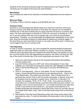Students of the university working through the Engineering Co-op Program for the University are not subject to the hours per week limitation.

# **Merit Raises**

Pay increases are made at the discretion of individual departments and are based on merit.

# **Minimum Wage**

The State of Ohio's minimum wage is currently \$8.80 per hour.

# **Overtime Policy**

Overtime is not encouraged and should rarely occur since the maximum work hours during a summer work week should be no more than 35; however you are entitled to overtime pay on the rare occasion that you work more than 40 hours in a summer work week. The work week begins on Monday at 12:00 A.M. and ends on Sunday at 11:59 pm. If you are working more than one on-campus job, your hours are accumulated among them. Therefore, you are responsible for notifying each department of your other jobs, since the secondary employer is responsible for paying your overtime wages. In the event that you work more than 40 hours in one week, you will be paid 1.5 times your hourly wage for any hours in excess of 40.

# **Time Reporting**

In order to receive a paycheck, you must complete the required Student Employment paperwork after you have been offered a position on campus. Time will be submitted online for each pay period and your employer will verify this time. Pay periods run from the 1st of the month to the 15th (paychecks are issued on the 25th), and from the 16th day of the month to the last day of the month (paychecks are issued on the 10th).

- 1. Open your web browser and go to the University web portal at this address: porches.udayton.edu.
- 2. Log into Porches using your LDAP user name and password. If you have forgotten your username and password contact the UDit Helpdesk at 229-3888.
- 3. Click on the Human Resources. Scroll down to the blue HR Self-Service section.
- 4. Click on Time Reporting. Click on Time Sheet. On the Time Sheet Selection screen, choose the job tand pay period you are reporting time for. Click on the Time Sheet button. This opens your time sheet. Click on Enter Hours for a particular day and the Time In and Out screen will appear. In Banner, time entry for students must be reported in quarter hours. Enter time in intervals of 15 minutes. For example, 10:00, 10:15, 10:30, 10:45. If you work six minutes or more within any 15 minute interval, count the entire interval as time worked. For example, if you come to work at 9:05 a.m., you would round back your start time to 9:00. If you arrive at work at 9:06 a.m., you would round forward to 9:15. Student employees are required to record both time in and out, and they may do so multiple times within a day. Click on the Save button each time to record your hours.
- 5. Note that the Time and Leave Reporting screen only shows seven days of the pay period at a time. To view the remainder of the pay period, click on the Next button.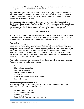6. At the end of the pay period, Submit your time sheet for approval. Enter your porches password as the LDAP password.

If you are working as a research student at UDRI or charging a research account for your time (your supervisor should inform you of this), you will be set up in the Deltek system for time entry. Please refer specific questions to your supervisor in regards to how to gain access to the system.

If you are working for a department that uses Kronos timekeeping (currently Dining Services, the Bookstore, the RecPlex, and the Arena), your account will be ready to use by 11:30 a.m. the day after your position is input into Banner. Please refer specific questions to your supervisor in regards to how to gain access to the system.

# **JOB SEPARATION**

Non-faculty employees of the University of Dayton are employed with an "at will" status. Employees are not employed for any definite term and either party for any reason, with or without cause, may terminate the employment relationship at any time.

# **Resignation**

You are encouraged to submit a letter of resignation to your employer at least two weeks prior to your last day of employment. If your resignation is due to a conflict or disagreement with your employer concerning policy, schedule, work ethics, attitude, or other circumstances, you may want to discuss the problem with him or her before terminating from your position. If your resignation is due to sexual harassment and/or discrimination by either your employer or your co-workers you should consider speaking with a Student Employment representative.

As a student employee, you may voluntarily terminate your job at your own discretion. Reasons for your resignation might include:

- Course work overload
- Class scheduling conflicts
- Better job opportunity
- Co-op or intern opportunity
- Graduation
- Conflict with your employer or co-workers
- Personal reasons

# **Involuntary Separation With Notice**

Your employer may terminate your job with notice for a number of reasons. These reasons may include, but are not limited to:

- Discontinuation of the job
- Lack of departmental funding
- Scheduling conflicts
- Federal Work Study earnings maximum met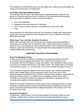Your employer should attempt to give you two weeks prior notice and should explain the reason for the termination of employment.

#### **Involuntary Separation Without Notice**

The employer has the right to terminate student employees without notice for any reason or if students are found to be in violation of University behavioral standards. Some examples of violations include, but are not limited to:

- Time card falsification
- Repeated unexcused absences or tardiness
- Use of drugs or alcohol during or immediately prior to the work shift.
- Theft

As an exercise of its disciplinary authority, the University of Dayton also reserves the right to deny future employment to any student found to be in violation of time card falsification and theft.

#### **Returning to Your Job after Academic Vacations**

Before each semester ends, you should ask your employer about the possibility of returning to your position the next academic year or after returning from a leave of absence (e.g. co-op experience). Most campus employers offer continued employment. However, continued employment is not guaranteed since departments have the right to change staffing and programming.

#### **UNIVERSITY POLICIES & PROCEDURES**

#### **Drug-Free Workplace Policy**

In order to ensure the University's commitment to a quality educational and work environment, every employee and student has a right to work and learn in an environment free from the effects of drugs and alcohol. The University of Dayton policy on alcohol is consistent with the law in the State of Ohio. This means that no individual may purchase, possess, or consume beer or any other alcoholic beverage until age 21.

The University's drug policy states the illicit and improper use, transfer, possession, and/or sale of illegal drugs and the possession and/or use of any type of drug paraphernalia are prohibited at the University of Dayton. Each student is responsible for adhering to these policies. If a violation occurs, disciplinary action will be taken. Penalties can include termination of employment, dismissal or expulsion from the University and possible criminal prosecution.

While the University will attempt to provide support and counseling services for those involved in substance abuse, it also will act firmly through disciplinary procedures to control drug abuse and the promotion of illegal substances in the campus and in the University community.

#### **Grievance Procedures**

Occasionally, conflicts arise in the work place between the student worker and the employer. Usually these conflicts can be resolved by taking the following action: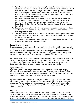- 1. If you have a grievance concerning an employer's policy or procedure, make an attempt to discuss and settle the problem with your immediate supervisor. Do not be afraid to present and talk about your concerns. Try to stay calm and rationally present your argument. Emotional outbursts tend to cause friction. Determine what you want to talk about before you meet with your supervisor. In most cases, an honest discussion resolves the conflict.
- 2. If you are dissatisfied with your supervisor's response, you may want to then contact your department supervisor to discuss your concerns. Explain to him or her that you have already spoken with your immediate supervisor and are dissatisfied with the outcome. Possibly, the department supervisor can resolve the conflict.
- 3. If you are still unable to resolve the matter, make an appointment with the Dean of Admission and Financial Aid. Be prepared to present all the information pertaining to the matter.
- 4. The Dean will meet with all of the individuals involved and attempt to mediate the problem. Written records reflecting these proceedings will be maintained in your student employment file.
- 5. If the matter is not resolved to your satisfaction, you may appeal the resolution in writing to the University's Grievance Board.

# **Illness/Emergency Leave**

If you are absent during a scheduled work shift, you will not be paid for those hours. If you become ill and/or an emergency arises and you are unable to work, you must notify your employer as soon as possible before your shift begins, so he or she can make necessary arrangements. If your illness persists for a long period of time, notify your employer of the situation so that necessary arrangements can be made.

If you are absent due to uncontrollable circumstances and you are unable to notify your employer, you will be able to explain your situation at a later time when you return to work. However, if you have no justification for your absence, you are subject to any disciplinary action taken by your employer (e.g. reprimand, dismissal).

# **Injury on the Job**

If you are injured on the job you must make your supervisor aware of your injury immediately. Every reasonable effort will be made to assist you in receiving prompt medical attention. U.D. Public Safety, or the University Rescue Squad, may be called if needed, and patrol officers are qualified in first-aid procedures.

It is important for you to complete the proper paperwork in order to file a claim and be reimbursed for your medical expenses. Please be sure to fulfill this obligation as soon as possible. For any additional information concerning the Worker's Compensation Policy or injury on the job, contact the Office of Human Resources, St. Mary's Hall, Room 118, 229-2541.

# **Jury Duty**

A student employee (18 years or older) may be summoned for jury duty. If you are currently scheduled to work, your employer must keep your position available for you while you are serving jury duty. If only a phone call is required and you are not required to report in, you will be expected to report to your on campus work assignment. Jury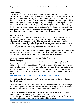duty is treated as an excused absence without pay. You will receive payment from the court.

# **Minor's Policy**

The University of Dayton has an obligation to its students, faculty, staff, and visitors to conduct its operations and maintain its facilities in a manner consistent with its mission as a Catholic and Marianist institution of higher education. The University recognizes that children are a valued part of our campus community and is committed to providing appropriate supervision to minors who are involved in University-sponsored programs both on and off campus and for non-University sponsored programs held on the University's campus. Therefore, the University has created policies aimed at protecting children who are involved with the campus community. This policy applies to student employees who will be working with minor children as part of their job. Your supervisor will inform you if you are required to take part in Minor's Policy Training.

# **Nepotism Policy**

No student employee should be employed in, or 'transferred to, a department which establishes a supervisory/employee relationship between two individuals who are related as follows: parent, child, stepchild, grandparent, grandchild, brother, halfbrother, stepbrother, sister, half-sister, stepsister, uncle, aunt, nephew, niece, cousin, husband, wife, stepparent, brother-in-law, sister-in-law, father-in-law, mother-in-law, son-in-law, daughter-in-law, or any member of the same household.

The above includes not only situations where one person reports directly to another, but also to those situations where one person would be employed in a unit or department over which another person has authority or administrative responsibility.

# **Nondiscrimination and Anti-Harassment Policy (including Sexual Harassment)**

The University's Nondiscrimination and Anti-Harassment Policy prohibits unlawful discrimination on the basis of race, color, creed, religion, ancestry, national or ethnic origin, sex/gender, sexual orientation, age, genetic information, military status, veteran status, familial status or disability. Sexual harassment, which includes but is not limited to sexual violence, is one form of sex/gender discrimination. The full Nondiscrimination and Anti-Harassment Policy can be found on the Nondiscrimination Resources Center website:

<https://udayton.edu/policies/finance/nondiscrimination-policypage.php>

A link to this website is located in the footer of every University of Dayton webpage (including Porches).

The Nondiscrimination Resources Center also serves as the home to additional helpful information regarding discrimination issues, including online report and complaint forms, the Equity Complaint Process, and the Mandatory Reporting Policy.

The Equity Complaint Process describes the process used in resolving complaints brought under the Nondiscrimination and Anti-Harassment Policy. The Nondiscrimination Resource Center also provides "How It Works: A Quick Guide," which provides a brief, easy to understand explanation of the process.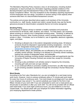The Mandatory Reporting Policy imposes a duty on all employees, including student employees, to report promptly any information regarding potential violations of the Nondiscrimination and Anti-Harassment Policy to the Title IX/504 Coordinator and Equity Compliance Officer. The only exceptions to the mandatory reporting requirement involve employees who are clergy, counselors or doctors acting in that capacity when someone tells them of a discrimination/harassment concern.

The policies and process described above apply to all members of the University community (i.e., staff, faculty, student and visitor), except faculty may use the faculty grievance process for discrimination complaints that do not involve sex/gender.

# **Smoking Policy**

The University of Dayton strives to maintain a healthy workplace and productive environment for all faculty, staff, students, and visitors. For that reason, the University allows smoking on campus only in designated smoking areas. "Smoking" is defined as the smoking of tobacco, other nicotine products, and/or smoking devices that expel a smoke or vapor. It includes, but is not limited to, use of cigarettes, electronic cigarettes, cigars, and pipes.

- 1. Smoking is allowed only in the exterior designated smoking areas. All tobacco products should be disposed in appropriate smoking receptacles – not on the ground. Designated smoking areas are clearly marked with signs. (see the [Designated Smoking Areas Map\)](http://www.udayton.edu/finadmin/_resources/docs/designated_smoking_areas.pdf).
- 2. Public streets, alleys, and sidewalks are not affected by this policy nor are any privately owned vehicles. Smoking is not allowed on University owned roadways, parking lots outside of designated areas, and sidewalks.
- 3. All University buildings including student residence halls and apartments (per the University of Dayton Housing Contract) are smoke free, except for University Houses.
- 4. Smoking is also prohibited in all vehicles owned or leased by the University, including golf carts and club car type vehicles.
- 5. In our continued efforts to promote a healthy environment, we offer those seeking to quit smoking cessation assistance through the University's Human Resources office.

# **Work Breaks**

According to the Fair Labor Standards Act, you are not eligible for a rest break during work hours. However, most on-campus employers allow a 15 minute paid work break for every four hours of continuous work. Your work break is a privilege and if you abuse it your employer may cancel it. You cannot substitute your break for the first or last fifteen minutes of your work shift. If you are scheduled to work over a meal period you should plan to eat before or after your work shift. You will not be provided with an official paid meal break. If you work eight continuous hours, you are entitled to a one hour unpaid break. You should check with your employer for further information regarding your employing department's break policies.